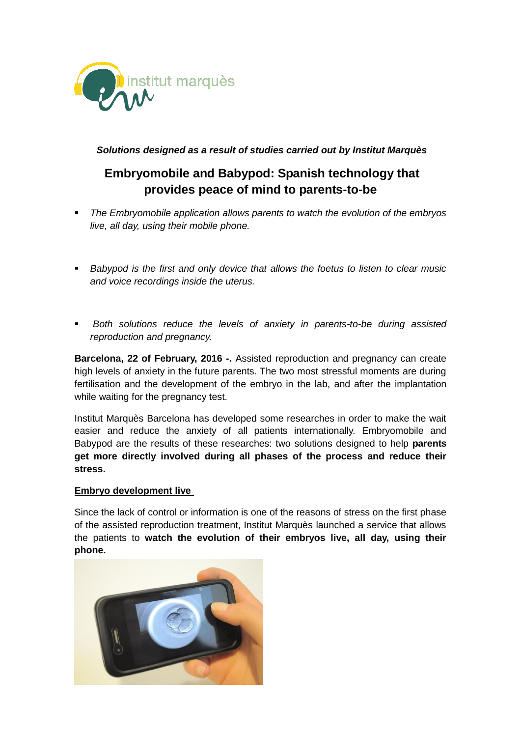

## *Solutions designed as a result of studies carried out by Institut Marquès*

# **Embryomobile and Babypod: Spanish technology that provides peace of mind to parents-to-be**

- *The Embryomobile application allows parents to watch the evolution of the embryos live, all day, using their mobile phone.*
- **Babypod is the first and only device that allows the foetus to listen to clear music** *and voice recordings inside the uterus.*
- *Both solutions reduce the levels of anxiety in parents-to-be during assisted reproduction and pregnancy.*

**Barcelona, 22 of February, 2016 -.** Assisted reproduction and pregnancy can create high levels of anxiety in the future parents. The two most stressful moments are during fertilisation and the development of the embryo in the lab, and after the implantation while waiting for the pregnancy test.

Institut Marquès Barcelona has developed some researches in order to make the wait easier and reduce the anxiety of all patients internationally. Embryomobile and Babypod are the results of these researches: two solutions designed to help **parents get more directly involved during all phases of the process and reduce their stress.**

### **Embryo development live**

Since the lack of control or information is one of the reasons of stress on the first phase of the assisted reproduction treatment, Institut Marquès launched a service that allows the patients to **watch the evolution of their embryos live, all day, using their phone.**

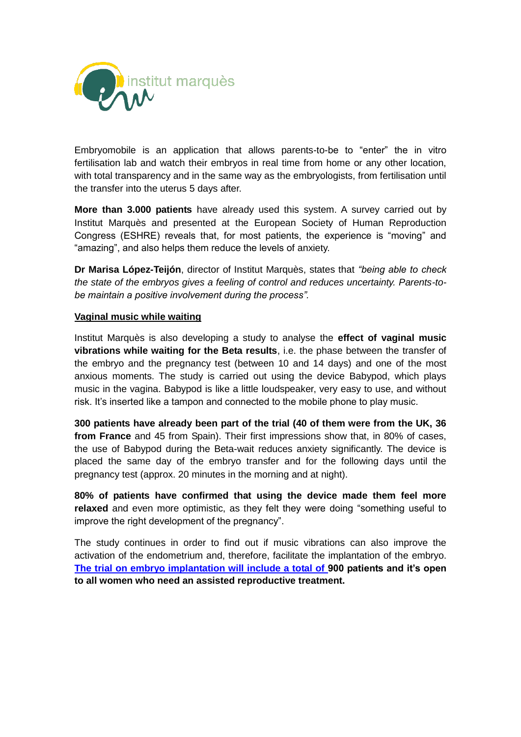

Embryomobile is an application that allows parents-to-be to "enter" the in vitro fertilisation lab and watch their embryos in real time from home or any other location, with total transparency and in the same way as the embryologists, from fertilisation until the transfer into the uterus 5 days after.

**More than 3.000 patients** have already used this system. A survey carried out by Institut Marquès and presented at the European Society of Human Reproduction Congress (ESHRE) reveals that, for most patients, the experience is "moving" and "amazing", and also helps them reduce the levels of anxiety.

**Dr Marisa López-Teijón**, director of Institut Marquès, states that *"being able to check the state of the embryos gives a feeling of control and reduces uncertainty. Parents-tobe maintain a positive involvement during the process".* 

#### **Vaginal music while waiting**

Institut Marquès is also developing a study to analyse the **effect of vaginal music vibrations while waiting for the Beta results**, i.e. the phase between the transfer of the embryo and the pregnancy test (between 10 and 14 days) and one of the most anxious moments. The study is carried out using the device Babypod, which plays music in the vagina. Babypod is like a little loudspeaker, very easy to use, and without risk. It's inserted like a tampon and connected to the mobile phone to play music.

**300 patients have already been part of the trial (40 of them were from the UK, 36 from France** and 45 from Spain). Their first impressions show that, in 80% of cases, the use of Babypod during the Beta-wait reduces anxiety significantly. The device is placed the same day of the embryo transfer and for the following days until the pregnancy test (approx. 20 minutes in the morning and at night).

**80% of patients have confirmed that using the device made them feel more relaxed** and even more optimistic, as they felt they were doing "something useful to improve the right development of the pregnancy".

The study continues in order to find out if music vibrations can also improve the activation of the endometrium and, therefore, facilitate the implantation of the embryo. **[The trial on embryo implantation will include a total of 9](http://www.institutmarques.it/studio-clinico-musica-fiv.html)00 patients and it's open to all women who need an assisted reproductive treatment.**